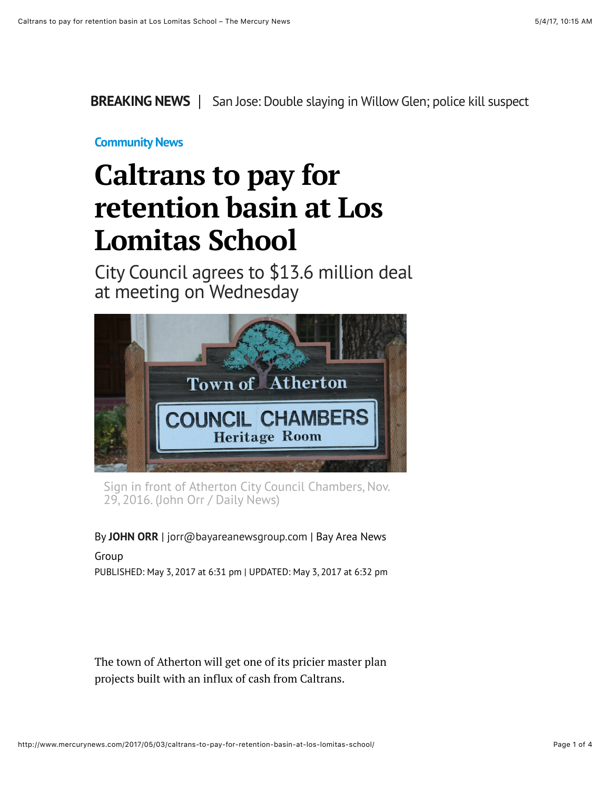**BREAKING NEWS** | [San Jose: Double slaying in Willow Glen; police kill suspect](http://www.mercurynews.com/2017/05/03/san-jose-swat-team-called-to-willow-glen-neighborhood/)

## **[Community News](http://www.mercurynews.com/community-news/)**

# **Caltrans to pay for retention basin at Los Lomitas School**

City Council agrees to \$13.6 million deal at meeting on Wednesday



Sign in front of Atherton City Council Chambers, Nov. 29, 2016. (John Orr / Daily News)

### By **[JOHN ORR](http://www.mercurynews.com/author/john-orr/)** | [jorr@bayareanewsgroup.com](mailto:jorr@bayareanewsgroup.com) | Bay Area News

## Group

PUBLISHED: May 3, 2017 at 6:31 pm | UPDATED: May 3, 2017 at 6:32 pm

The town of Atherton will get one of its pricier master plan projects built with an influx of cash from Caltrans.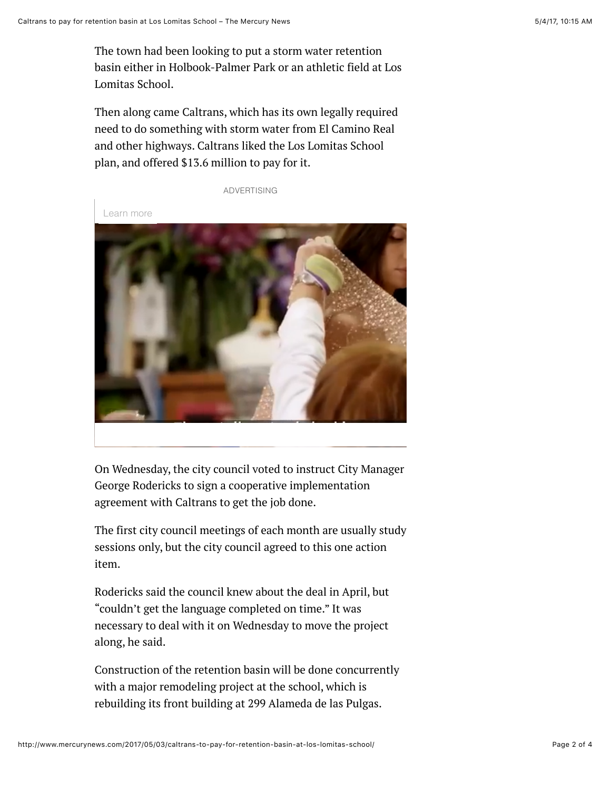The town had been looking to put a storm water retention basin either in Holbook-Palmer Park or an athletic field at Los Lomitas School.

Then along came Caltrans, which has its own legally required need to do something with storm water from El Camino Real and other highways. Caltrans liked the Los Lomitas School plan, and offered \$13.6 million to pay for it.

ADVERTISING

Learn more



On Wednesday, the city council voted to instruct City Manager George Rodericks to sign a cooperative implementation agreement with Caltrans to get the job done.

The first city council meetings of each month are usually study sessions only, but the city council agreed to this one action item.

Rodericks said the council knew about the deal in April, but "couldn't get the language completed on time." It was necessary to deal with it on Wednesday to move the project along, he said.

Construction of the retention basin will be done concurrently with a major remodeling project at the school, which is rebuilding its front building at 299 Alameda de las Pulgas.